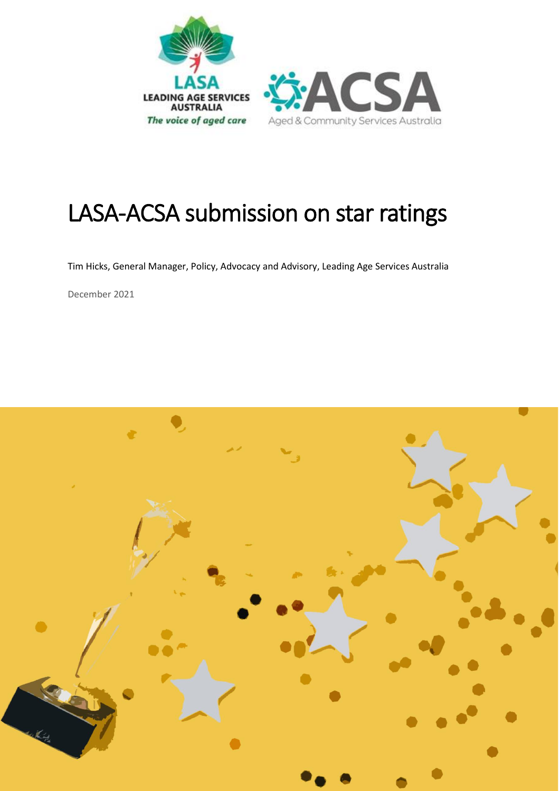

# LASA-ACSA submission on star ratings

Tim Hicks, General Manager, Policy, Advocacy and Advisory, Leading Age Services Australia

December 2021

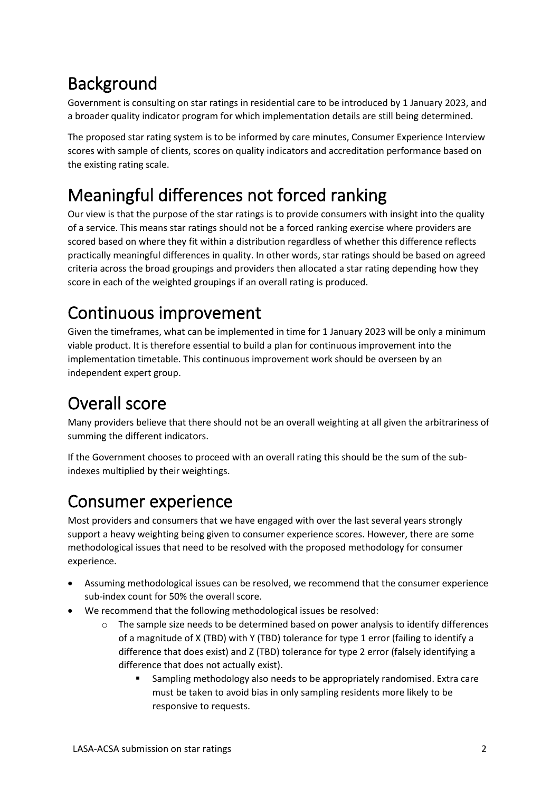### Background

Government is consulting on star ratings in residential care to be introduced by 1 January 2023, and a broader quality indicator program for which implementation details are still being determined.

The proposed star rating system is to be informed by care minutes, Consumer Experience Interview scores with sample of clients, scores on quality indicators and accreditation performance based on the existing rating scale.

## Meaningful differences not forced ranking

Our view is that the purpose of the star ratings is to provide consumers with insight into the quality of a service. This means star ratings should not be a forced ranking exercise where providers are scored based on where they fit within a distribution regardless of whether this difference reflects practically meaningful differences in quality. In other words, star ratings should be based on agreed criteria across the broad groupings and providers then allocated a star rating depending how they score in each of the weighted groupings if an overall rating is produced.

# Continuous improvement

Given the timeframes, what can be implemented in time for 1 January 2023 will be only a minimum viable product. It is therefore essential to build a plan for continuous improvement into the implementation timetable. This continuous improvement work should be overseen by an independent expert group.

# Overall score

Many providers believe that there should not be an overall weighting at all given the arbitrariness of summing the different indicators.

If the Government chooses to proceed with an overall rating this should be the sum of the subindexes multiplied by their weightings.

#### Consumer experience

Most providers and consumers that we have engaged with over the last several years strongly support a heavy weighting being given to consumer experience scores. However, there are some methodological issues that need to be resolved with the proposed methodology for consumer experience.

- Assuming methodological issues can be resolved, we recommend that the consumer experience sub-index count for 50% the overall score.
- We recommend that the following methodological issues be resolved:
	- $\circ$  The sample size needs to be determined based on power analysis to identify differences of a magnitude of X (TBD) with Y (TBD) tolerance for type 1 error (failing to identify a difference that does exist) and Z (TBD) tolerance for type 2 error (falsely identifying a difference that does not actually exist).
		- Sampling methodology also needs to be appropriately randomised. Extra care must be taken to avoid bias in only sampling residents more likely to be responsive to requests.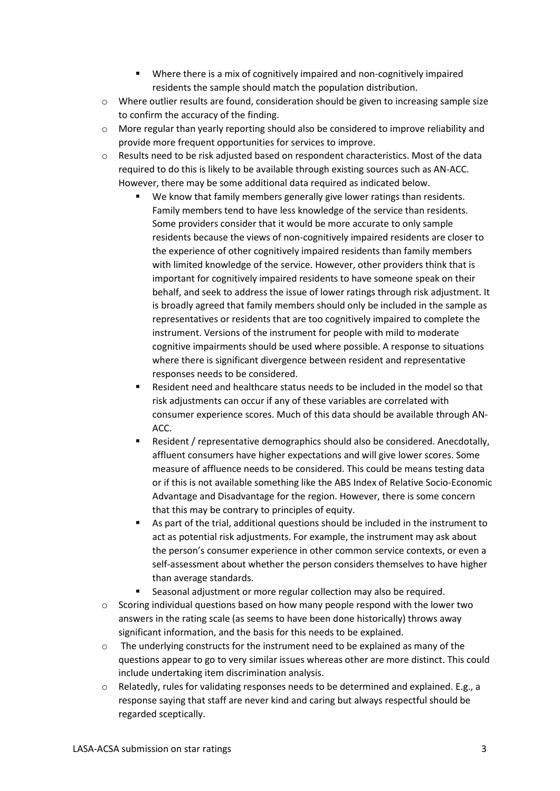- Where there is a mix of cognitively impaired and non-cognitively impaired residents the sample should match the population distribution.
- o Where outlier results are found, consideration should be given to increasing sample size to confirm the accuracy of the finding.
- $\circ$  More regular than yearly reporting should also be considered to improve reliability and provide more frequent opportunities for services to improve.
- o Results need to be risk adjusted based on respondent characteristics. Most of the data required to do this is likely to be available through existing sources such as AN-ACC. However, there may be some additional data required as indicated below.
	- We know that family members generally give lower ratings than residents. Family members tend to have less knowledge of the service than residents. Some providers consider that it would be more accurate to only sample residents because the views of non-cognitively impaired residents are closer to the experience of other cognitively impaired residents than family members with limited knowledge of the service. However, other providers think that is important for cognitively impaired residents to have someone speak on their behalf, and seek to address the issue of lower ratings through risk adjustment. It is broadly agreed that family members should only be included in the sample as representatives or residents that are too cognitively impaired to complete the instrument. Versions of the instrument for people with mild to moderate cognitive impairments should be used where possible. A response to situations where there is significant divergence between resident and representative responses needs to be considered.
	- Resident need and healthcare status needs to be included in the model so that risk adjustments can occur if any of these variables are correlated with consumer experience scores. Much of this data should be available through AN-ACC.
	- Resident / representative demographics should also be considered. Anecdotally, affluent consumers have higher expectations and will give lower scores. Some measure of affluence needs to be considered. This could be means testing data or if this is not available something like the ABS Index of Relative Socio-Economic Advantage and Disadvantage for the region. However, there is some concern that this may be contrary to principles of equity.
	- As part of the trial, additional questions should be included in the instrument to act as potential risk adjustments. For example, the instrument may ask about the person's consumer experience in other common service contexts, or even a self-assessment about whether the person considers themselves to have higher than average standards.
	- Seasonal adjustment or more regular collection may also be required.
- o Scoring individual questions based on how many people respond with the lower two answers in the rating scale (as seems to have been done historically) throws away significant information, and the basis for this needs to be explained.
- $\circ$  The underlying constructs for the instrument need to be explained as many of the questions appear to go to very similar issues whereas other are more distinct. This could include undertaking item discrimination analysis.
- o Relatedly, rules for validating responses needs to be determined and explained. E.g., a response saying that staff are never kind and caring but always respectful should be regarded sceptically.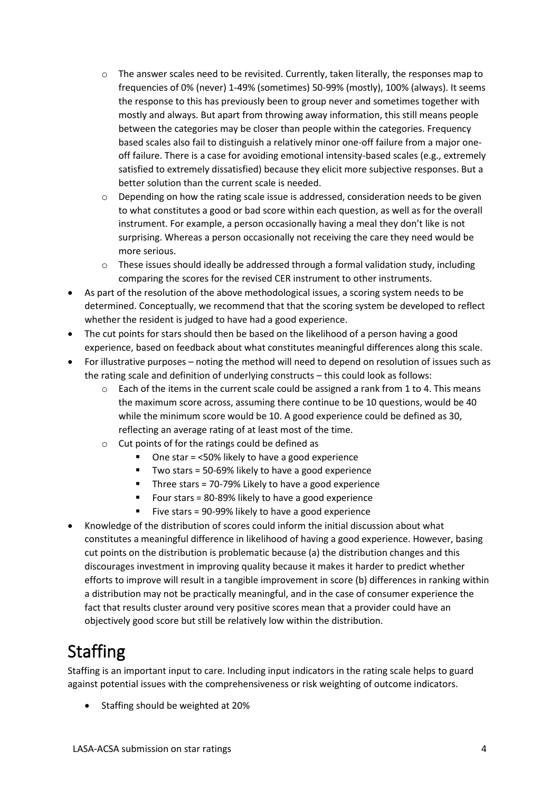- o The answer scales need to be revisited. Currently, taken literally, the responses map to frequencies of 0% (never) 1-49% (sometimes) 50-99% (mostly), 100% (always). It seems the response to this has previously been to group never and sometimes together with mostly and always. But apart from throwing away information, this still means people between the categories may be closer than people within the categories. Frequency based scales also fail to distinguish a relatively minor one-off failure from a major oneoff failure. There is a case for avoiding emotional intensity-based scales (e.g., extremely satisfied to extremely dissatisfied) because they elicit more subjective responses. But a better solution than the current scale is needed.
- o Depending on how the rating scale issue is addressed, consideration needs to be given to what constitutes a good or bad score within each question, as well as for the overall instrument. For example, a person occasionally having a meal they don't like is not surprising. Whereas a person occasionally not receiving the care they need would be more serious.
- $\circ$  These issues should ideally be addressed through a formal validation study, including comparing the scores for the revised CER instrument to other instruments.
- As part of the resolution of the above methodological issues, a scoring system needs to be determined. Conceptually, we recommend that that the scoring system be developed to reflect whether the resident is judged to have had a good experience.
- The cut points for stars should then be based on the likelihood of a person having a good experience, based on feedback about what constitutes meaningful differences along this scale.
- For illustrative purposes noting the method will need to depend on resolution of issues such as the rating scale and definition of underlying constructs – this could look as follows:
	- $\circ$  Each of the items in the current scale could be assigned a rank from 1 to 4. This means the maximum score across, assuming there continue to be 10 questions, would be 40 while the minimum score would be 10. A good experience could be defined as 30, reflecting an average rating of at least most of the time.
	- o Cut points of for the ratings could be defined as
		- One star  $=$  <50% likely to have a good experience
		- Two stars = 50-69% likely to have a good experience
		- Three stars = 70-79% Likely to have a good experience
		- Four stars  $= 80 89\%$  likely to have a good experience
		- Five stars = 90-99% likely to have a good experience
- Knowledge of the distribution of scores could inform the initial discussion about what constitutes a meaningful difference in likelihood of having a good experience. However, basing cut points on the distribution is problematic because (a) the distribution changes and this discourages investment in improving quality because it makes it harder to predict whether efforts to improve will result in a tangible improvement in score (b) differences in ranking within a distribution may not be practically meaningful, and in the case of consumer experience the fact that results cluster around very positive scores mean that a provider could have an objectively good score but still be relatively low within the distribution.

#### **Staffing**

Staffing is an important input to care. Including input indicators in the rating scale helps to guard against potential issues with the comprehensiveness or risk weighting of outcome indicators.

• Staffing should be weighted at 20%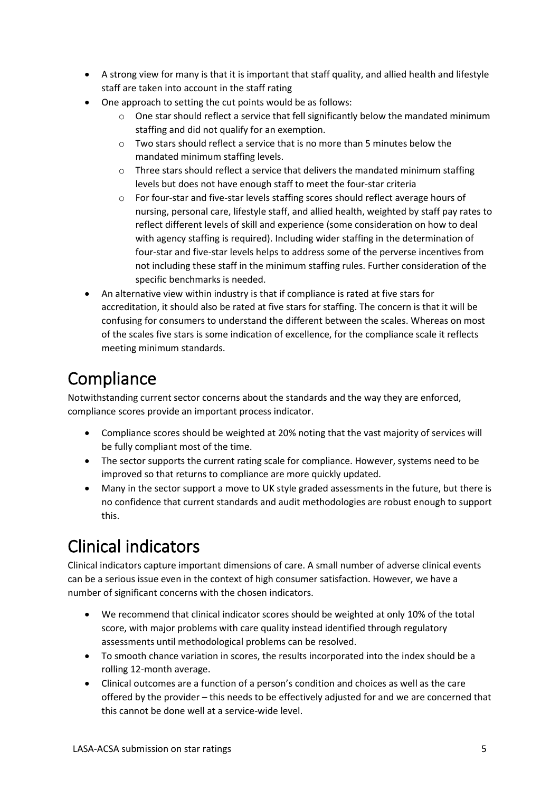- A strong view for many is that it is important that staff quality, and allied health and lifestyle staff are taken into account in the staff rating
- One approach to setting the cut points would be as follows:
	- o One star should reflect a service that fell significantly below the mandated minimum staffing and did not qualify for an exemption.
	- $\circ$  Two stars should reflect a service that is no more than 5 minutes below the mandated minimum staffing levels.
	- $\circ$  Three stars should reflect a service that delivers the mandated minimum staffing levels but does not have enough staff to meet the four-star criteria
	- o For four-star and five-star levels staffing scores should reflect average hours of nursing, personal care, lifestyle staff, and allied health, weighted by staff pay rates to reflect different levels of skill and experience (some consideration on how to deal with agency staffing is required). Including wider staffing in the determination of four-star and five-star levels helps to address some of the perverse incentives from not including these staff in the minimum staffing rules. Further consideration of the specific benchmarks is needed.
- An alternative view within industry is that if compliance is rated at five stars for accreditation, it should also be rated at five stars for staffing. The concern is that it will be confusing for consumers to understand the different between the scales. Whereas on most of the scales five stars is some indication of excellence, for the compliance scale it reflects meeting minimum standards.

### **Compliance**

Notwithstanding current sector concerns about the standards and the way they are enforced, compliance scores provide an important process indicator.

- Compliance scores should be weighted at 20% noting that the vast majority of services will be fully compliant most of the time.
- The sector supports the current rating scale for compliance. However, systems need to be improved so that returns to compliance are more quickly updated.
- Many in the sector support a move to UK style graded assessments in the future, but there is no confidence that current standards and audit methodologies are robust enough to support this.

## Clinical indicators

Clinical indicators capture important dimensions of care. A small number of adverse clinical events can be a serious issue even in the context of high consumer satisfaction. However, we have a number of significant concerns with the chosen indicators.

- We recommend that clinical indicator scores should be weighted at only 10% of the total score, with major problems with care quality instead identified through regulatory assessments until methodological problems can be resolved.
- To smooth chance variation in scores, the results incorporated into the index should be a rolling 12-month average.
- Clinical outcomes are a function of a person's condition and choices as well as the care offered by the provider – this needs to be effectively adjusted for and we are concerned that this cannot be done well at a service-wide level.